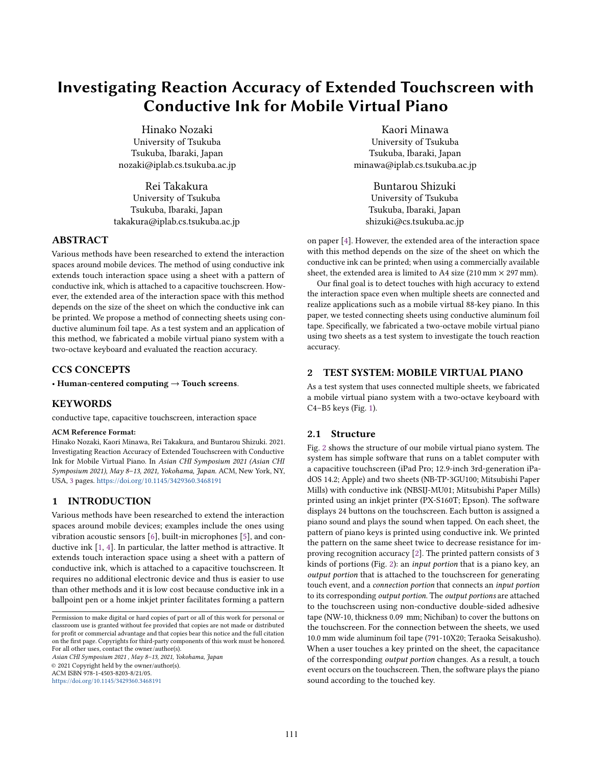# Investigating Reaction Accuracy of Extended Touchscreen with Conductive Ink for Mobile Virtual Piano

Hinako Nozaki University of Tsukuba Tsukuba, Ibaraki, Japan nozaki@iplab.cs.tsukuba.ac.jp

Rei Takakura University of Tsukuba Tsukuba, Ibaraki, Japan takakura@iplab.cs.tsukuba.ac.jp

## ABSTRACT

Various methods have been researched to extend the interaction spaces around mobile devices. The method of using conductive ink extends touch interaction space using a sheet with a pattern of conductive ink, which is attached to a capacitive touchscreen. However, the extended area of the interaction space with this method depends on the size of the sheet on which the conductive ink can be printed. We propose a method of connecting sheets using conductive aluminum foil tape. As a test system and an application of this method, we fabricated a mobile virtual piano system with a two-octave keyboard and evaluated the reaction accuracy.

## CCS CONCEPTS

• Human-centered computing  $\rightarrow$  Touch screens.

## **KEYWORDS**

conductive tape, capacitive touchscreen, interaction space

#### ACM Reference Format:

Hinako Nozaki, Kaori Minawa, Rei Takakura, and Buntarou Shizuki. 2021. Investigating Reaction Accuracy of Extended Touchscreen with Conductive Ink for Mobile Virtual Piano. In Asian CHI Symposium 2021 (Asian CHI Symposium 2021), May 8–13, 2021, Yokohama, Japan. ACM, New York, NY, USA, [3](#page-2-0) pages. <https://doi.org/10.1145/3429360.3468191>

## 1 INTRODUCTION

Various methods have been researched to extend the interaction spaces around mobile devices; examples include the ones using vibration acoustic sensors [\[6\]](#page-2-1), built-in microphones [\[5\]](#page-2-2), and conductive ink [\[1,](#page-2-3) [4\]](#page-2-4). In particular, the latter method is attractive. It extends touch interaction space using a sheet with a pattern of conductive ink, which is attached to a capacitive touchscreen. It requires no additional electronic device and thus is easier to use than other methods and it is low cost because conductive ink in a ballpoint pen or a home inkjet printer facilitates forming a pattern

Asian CHI Symposium 2021 , May 8–13, 2021, Yokohama, Japan © 2021 Copyright held by the owner/author(s). ACM ISBN 978-1-4503-8203-8/21/05.

<https://doi.org/10.1145/3429360.3468191>

Kaori Minawa University of Tsukuba Tsukuba, Ibaraki, Japan minawa@iplab.cs.tsukuba.ac.jp

> Buntarou Shizuki University of Tsukuba Tsukuba, Ibaraki, Japan shizuki@cs.tsukuba.ac.jp

on paper [\[4\]](#page-2-4). However, the extended area of the interaction space with this method depends on the size of the sheet on which the conductive ink can be printed; when using a commercially available sheet, the extended area is limited to A4 size  $(210 \text{ mm} \times 297 \text{ mm})$ .

Our final goal is to detect touches with high accuracy to extend the interaction space even when multiple sheets are connected and realize applications such as a mobile virtual 88-key piano. In this paper, we tested connecting sheets using conductive aluminum foil tape. Specifically, we fabricated a two-octave mobile virtual piano using two sheets as a test system to investigate the touch reaction accuracy.

## 2 TEST SYSTEM: MOBILE VIRTUAL PIANO

As a test system that uses connected multiple sheets, we fabricated a mobile virtual piano system with a two-octave keyboard with C4–B5 keys (Fig. [1\)](#page-1-0).

## 2.1 Structure

Fig. [2](#page-1-0) shows the structure of our mobile virtual piano system. The system has simple software that runs on a tablet computer with a capacitive touchscreen (iPad Pro; 12.9-inch 3rd-generation iPadOS 14.2; Apple) and two sheets (NB-TP-3GU100; Mitsubishi Paper Mills) with conductive ink (NBSIJ-MU01; Mitsubishi Paper Mills) printed using an inkjet printer (PX-S160T; Epson). The software displays 24 buttons on the touchscreen. Each button is assigned a piano sound and plays the sound when tapped. On each sheet, the pattern of piano keys is printed using conductive ink. We printed the pattern on the same sheet twice to decrease resistance for improving recognition accuracy [\[2\]](#page-2-5). The printed pattern consists of 3 kinds of portions (Fig. [2\)](#page-1-0): an input portion that is a piano key, an output portion that is attached to the touchscreen for generating touch event, and a connection portion that connects an input portion to its corresponding output portion. The output portions are attached to the touchscreen using non-conductive double-sided adhesive tape (NW-10, thickness 0.09 mm; Nichiban) to cover the buttons on the touchscreen. For the connection between the sheets, we used 10.0 mm wide aluminum foil tape (791-10X20; Teraoka Seisakusho). When a user touches a key printed on the sheet, the capacitance of the corresponding output portion changes. As a result, a touch event occurs on the touchscreen. Then, the software plays the piano sound according to the touched key.

Permission to make digital or hard copies of part or all of this work for personal or classroom use is granted without fee provided that copies are not made or distributed for profit or commercial advantage and that copies bear this notice and the full citation on the first page. Copyrights for third-party components of this work must be honored. For all other uses, contact the owner/author(s).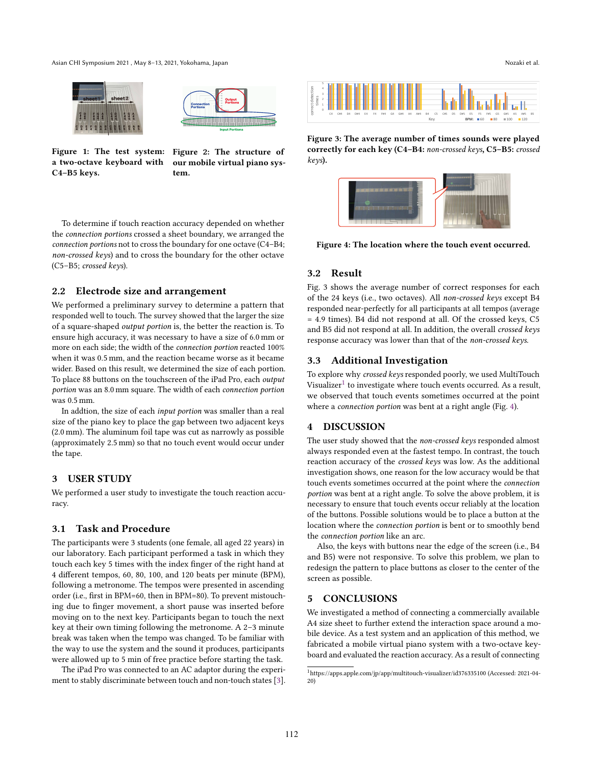<span id="page-1-0"></span>Asian CHI Symposium 2021 , May 8–13, 2021, Yokohama, Japan Nozaki et al.





a two-octave keyboard with C4–B5 keys.

Figure 1: The test system: Figure 2: The structure of our mobile virtual piano system.

To determine if touch reaction accuracy depended on whether the connection portions crossed a sheet boundary, we arranged the connection portions not to cross the boundary for one octave (C4–B4; non-crossed keys) and to cross the boundary for the other octave (C5–B5; crossed keys).

## 2.2 Electrode size and arrangement

We performed a preliminary survey to determine a pattern that responded well to touch. The survey showed that the larger the size of a square-shaped output portion is, the better the reaction is. To ensure high accuracy, it was necessary to have a size of 6.0 mm or more on each side; the width of the connection portion reacted 100% when it was 0.5 mm, and the reaction became worse as it became wider. Based on this result, we determined the size of each portion. To place 88 buttons on the touchscreen of the iPad Pro, each output portion was an 8.0 mm square. The width of each connection portion was 0.5 mm.

In addtion, the size of each input portion was smaller than a real size of the piano key to place the gap between two adjacent keys (2.0 mm). The aluminum foil tape was cut as narrowly as possible (approximately 2.5 mm) so that no touch event would occur under the tape.

## 3 USER STUDY

We performed a user study to investigate the touch reaction accuracy.

## 3.1 Task and Procedure

The participants were 3 students (one female, all aged 22 years) in our laboratory. Each participant performed a task in which they touch each key 5 times with the index finger of the right hand at 4 different tempos, 60, 80, 100, and 120 beats per minute (BPM), following a metronome. The tempos were presented in ascending order (i.e., first in BPM=60, then in BPM=80). To prevent mistouching due to finger movement, a short pause was inserted before moving on to the next key. Participants began to touch the next key at their own timing following the metronome. A 2–3 minute break was taken when the tempo was changed. To be familiar with the way to use the system and the sound it produces, participants were allowed up to 5 min of free practice before starting the task.

The iPad Pro was connected to an AC adaptor during the experiment to stably discriminate between touch and non-touch states [\[3\]](#page-2-6).



Figure 3: The average number of times sounds were played correctly for each key (C4–B4: non-crossed keys, C5–B5: crossed keys).

<span id="page-1-2"></span>

Figure 4: The location where the touch event occurred.

## 3.2 Result

Fig. 3 shows the average number of correct responses for each of the 24 keys (i.e., two octaves). All non-crossed keys except B4 responded near-perfectly for all participants at all tempos (average = 4.9 times). B4 did not respond at all. Of the crossed keys, C5 and B5 did not respond at all. In addition, the overall crossed keys response accuracy was lower than that of the non-crossed keys.

## 3.3 Additional Investigation

To explore why crossed keys responded poorly, we used MultiTouch Visualizer $^{1}$  $^{1}$  $^{1}$  to investigate where touch events occurred. As a result, we observed that touch events sometimes occurred at the point where a connection portion was bent at a right angle (Fig. [4\)](#page-1-2).

#### 4 DISCUSSION

The user study showed that the non-crossed keys responded almost always responded even at the fastest tempo. In contrast, the touch reaction accuracy of the crossed keys was low. As the additional investigation shows, one reason for the low accuracy would be that touch events sometimes occurred at the point where the connection portion was bent at a right angle. To solve the above problem, it is necessary to ensure that touch events occur reliably at the location of the buttons. Possible solutions would be to place a button at the location where the connection portion is bent or to smoothly bend the connection portion like an arc.

Also, the keys with buttons near the edge of the screen (i.e., B4 and B5) were not responsive. To solve this problem, we plan to redesign the pattern to place buttons as closer to the center of the screen as possible.

## 5 CONCLUSIONS

We investigated a method of connecting a commercially available A4 size sheet to further extend the interaction space around a mobile device. As a test system and an application of this method, we fabricated a mobile virtual piano system with a two-octave keyboard and evaluated the reaction accuracy. As a result of connecting

<span id="page-1-1"></span><sup>1</sup>https://apps.apple.com/jp/app/multitouch-visualizer/id376335100 (Accessed: 2021-04- 20)